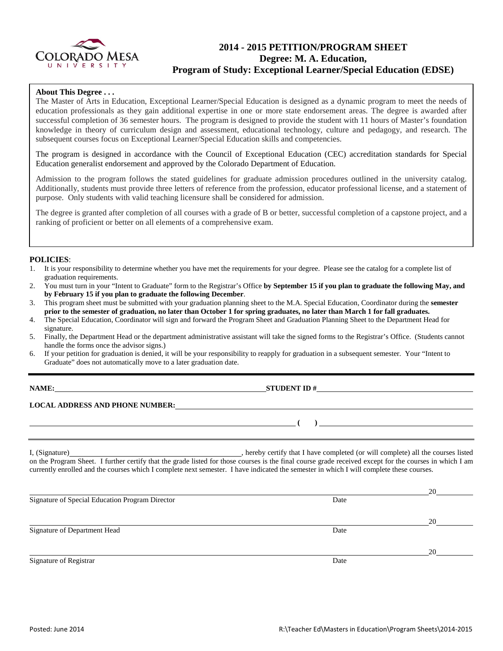

# **2014 - 2015 PETITION/PROGRAM SHEET Degree: M. A. Education, Program of Study: Exceptional Learner/Special Education (EDSE)**

## **About This Degree . . .**

The Master of Arts in Education, Exceptional Learner/Special Education is designed as a dynamic program to meet the needs of education professionals as they gain additional expertise in one or more state endorsement areas. The degree is awarded after successful completion of 36 semester hours. The program is designed to provide the student with 11 hours of Master's foundation knowledge in theory of curriculum design and assessment, educational technology, culture and pedagogy, and research. The subsequent courses focus on Exceptional Learner/Special Education skills and competencies.

The program is designed in accordance with the Council of Exceptional Education (CEC) accreditation standards for Special Education generalist endorsement and approved by the Colorado Department of Education.

Admission to the program follows the stated guidelines for graduate admission procedures outlined in the university catalog. Additionally, students must provide three letters of reference from the profession, educator professional license, and a statement of purpose. Only students with valid teaching licensure shall be considered for admission.

The degree is granted after completion of all courses with a grade of B or better, successful completion of a capstone project, and a ranking of proficient or better on all elements of a comprehensive exam.

### **POLICIES**:

- 1. It is your responsibility to determine whether you have met the requirements for your degree. Please see the catalog for a complete list of graduation requirements.
- 2. You must turn in your "Intent to Graduate" form to the Registrar's Office **by September 15 if you plan to graduate the following May, and by February 15 if you plan to graduate the following December**.
- 3. This program sheet must be submitted with your graduation planning sheet to the M.A. Special Education, Coordinator during the **semester prior to the semester of graduation, no later than October 1 for spring graduates, no later than March 1 for fall graduates.**
- 4. The Special Education, Coordinator will sign and forward the Program Sheet and Graduation Planning Sheet to the Department Head for signature.
- 5. Finally, the Department Head or the department administrative assistant will take the signed forms to the Registrar's Office. (Students cannot handle the forms once the advisor signs.)
- 6. If your petition for graduation is denied, it will be your responsibility to reapply for graduation in a subsequent semester. Your "Intent to Graduate" does not automatically move to a later graduation date.

**STUDENT ID #** 

### **LOCAL ADDRESS AND PHONE NUMBER:**

I, (Signature) , hereby certify that I have completed (or will complete) all the courses listed on the Program Sheet. I further certify that the grade listed for those courses is the final course grade received except for the courses in which I am currently enrolled and the courses which I complete next semester. I have indicated the semester in which I will complete these courses.

|                                                 |      | 20 |
|-------------------------------------------------|------|----|
| Signature of Special Education Program Director | Date |    |
|                                                 |      | 20 |
| Signature of Department Head                    | Date |    |
|                                                 |      | 20 |
| Signature of Registrar                          | Date |    |

**( )**